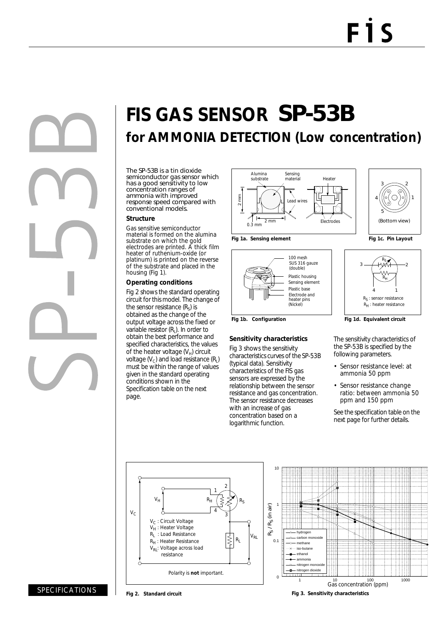

# **FIS GAS SENSOR** SP-53B **for AMMONIA DETECTION (Low concentration)**

The SP-53B is a tin dioxide semiconductor gas sensor which has a good sensitivity to low concentration ranges of ammonia with improved response speed compared with conventional models.

#### **Structure**

Gas sensitive semiconductor material is formed on the alumina substrate on which the gold electrodes are printed. A thick film heater of ruthenium-oxide (or platinum) is printed on the reverse of the substrate and placed in the housing (Fig 1).

#### **Operating conditions**

Fig 2 shows the standard operating circuit for this model. The change of the sensor resistance  $(R_s)$  is obtained as the change of the output voltage across the fixed or variable resistor  $(R<sub>1</sub>)$ . In order to obtain the best performance and specified characteristics, the values of the heater voltage  $(V_H)$  circuit voltage  $(V_c)$  and load resistance  $(R_i)$ must be within the range of values given in the standard operating conditions shown in the Specification table on the next page.



100 mesh SUS 316 gauze

(double)

Electrode and (Nickel)

heater pins

**Sensitivity characteristics** Fig 3 shows the sensitivity characteristics curves of the SP-53B

(typical data). Sensitivity characteristics of the FIS gas sensors are expressed by the relationship between the sensor resistance and gas concentration. The sensor resistance decreases with an increase of gas concentration based on a logarithmic function.

Plastic housing

Sensing element Plastic base





Fig 1b. Configuration **Fig 1d. Equivalent circuit** 

The sensitivity characteristics of the SP-53B is specified by the following parameters.

- Sensor resistance level: at ammonia 50 ppm
- Sensor resistance change ratio: between ammonia 50 ppm and 150 ppm

See the specification table on the next page for further details.





SPECIFICATIONS

**Fig 2. Standard circuit**